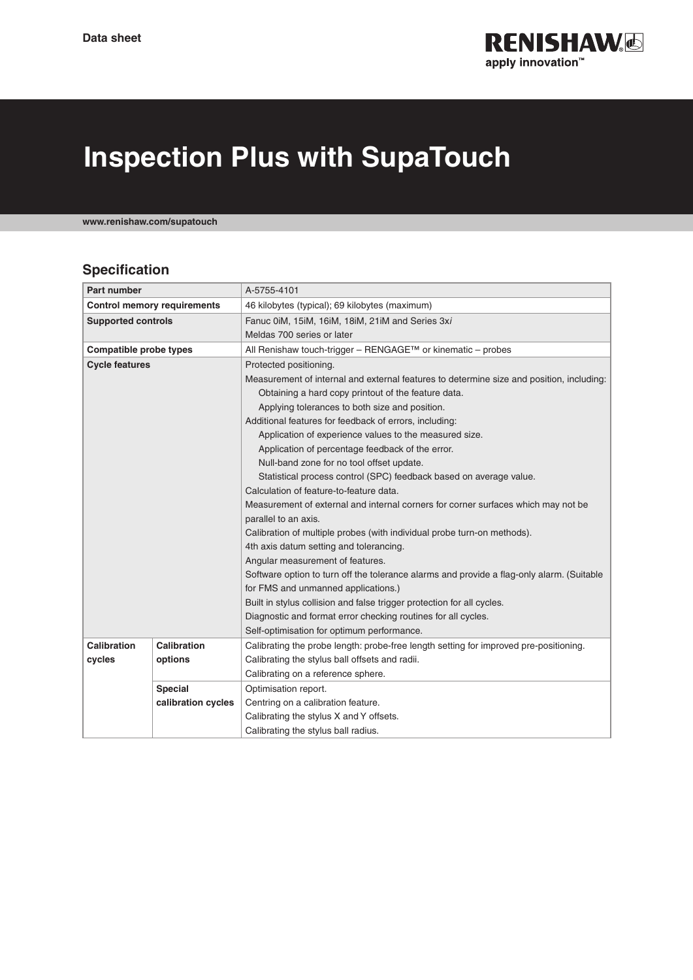

## **Inspection Plus with SupaTouch**

**www.renishaw.com/supatouch**

## **Specification**

| <b>Part number</b>                 |                    | A-5755-4101                                                                               |
|------------------------------------|--------------------|-------------------------------------------------------------------------------------------|
| <b>Control memory requirements</b> |                    | 46 kilobytes (typical); 69 kilobytes (maximum)                                            |
| <b>Supported controls</b>          |                    | Fanuc 0iM, 15iM, 16iM, 18iM, 21iM and Series 3xi                                          |
|                                    |                    | Meldas 700 series or later                                                                |
| Compatible probe types             |                    | All Renishaw touch-trigger – RENGAGE™ or kinematic – probes                               |
| <b>Cycle features</b>              |                    | Protected positioning.                                                                    |
|                                    |                    | Measurement of internal and external features to determine size and position, including:  |
|                                    |                    | Obtaining a hard copy printout of the feature data.                                       |
|                                    |                    | Applying tolerances to both size and position.                                            |
|                                    |                    | Additional features for feedback of errors, including:                                    |
|                                    |                    | Application of experience values to the measured size.                                    |
|                                    |                    | Application of percentage feedback of the error.                                          |
|                                    |                    | Null-band zone for no tool offset update.                                                 |
|                                    |                    | Statistical process control (SPC) feedback based on average value.                        |
|                                    |                    | Calculation of feature-to-feature data.                                                   |
|                                    |                    | Measurement of external and internal corners for corner surfaces which may not be         |
|                                    |                    | parallel to an axis.                                                                      |
|                                    |                    | Calibration of multiple probes (with individual probe turn-on methods).                   |
|                                    |                    | 4th axis datum setting and tolerancing.                                                   |
|                                    |                    | Angular measurement of features.                                                          |
|                                    |                    | Software option to turn off the tolerance alarms and provide a flag-only alarm. (Suitable |
|                                    |                    | for FMS and unmanned applications.)                                                       |
|                                    |                    | Built in stylus collision and false trigger protection for all cycles.                    |
|                                    |                    | Diagnostic and format error checking routines for all cycles.                             |
|                                    |                    | Self-optimisation for optimum performance.                                                |
| Calibration                        | Calibration        | Calibrating the probe length: probe-free length setting for improved pre-positioning.     |
| cycles                             | options            | Calibrating the stylus ball offsets and radii.                                            |
|                                    |                    | Calibrating on a reference sphere.                                                        |
|                                    | <b>Special</b>     | Optimisation report.                                                                      |
|                                    | calibration cycles | Centring on a calibration feature.                                                        |
|                                    |                    | Calibrating the stylus X and Y offsets.                                                   |
|                                    |                    | Calibrating the stylus ball radius.                                                       |